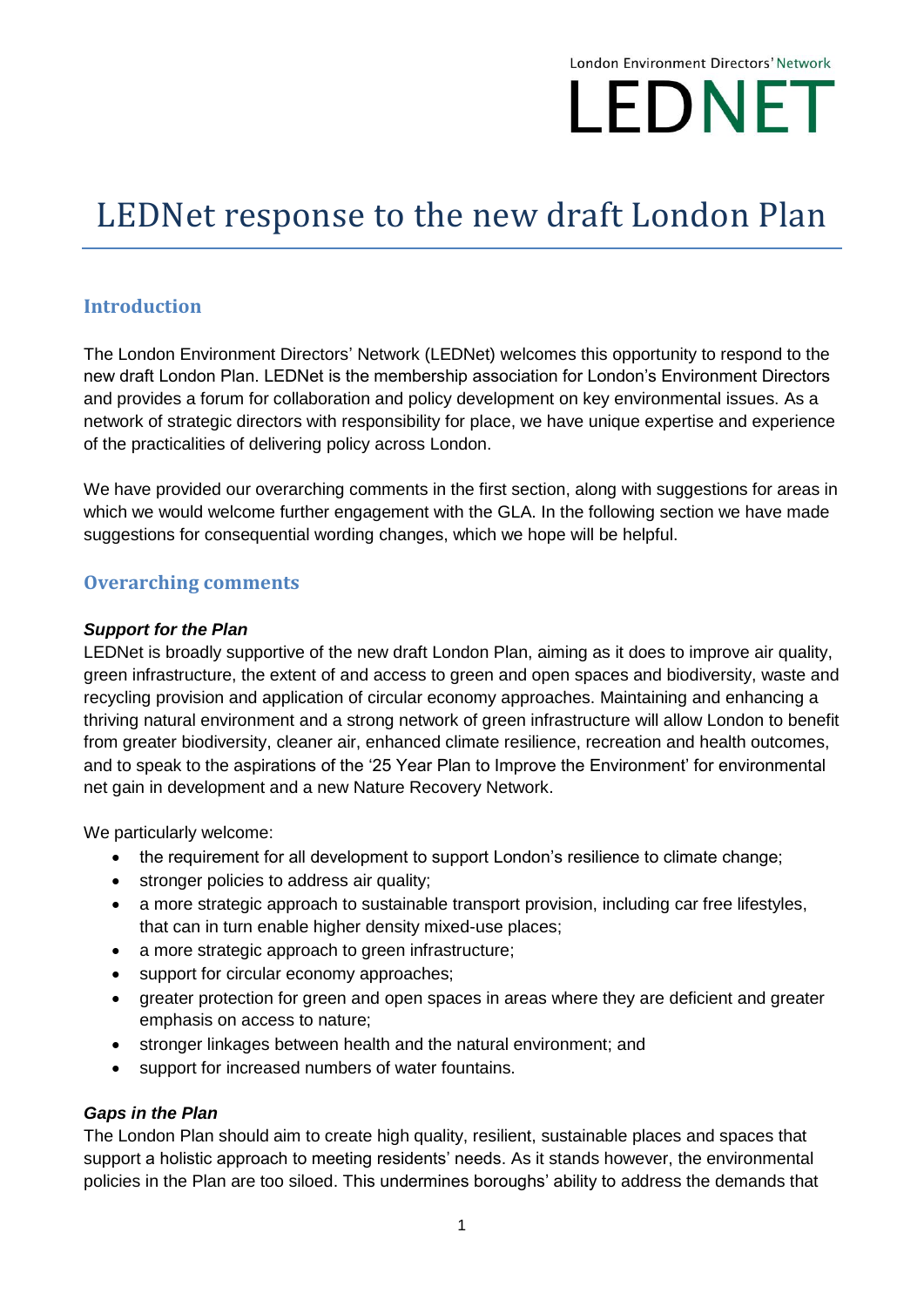# London Environment Directors' Network LEDNET

# LEDNet response to the new draft London Plan

# **Introduction**

The London Environment Directors' Network (LEDNet) welcomes this opportunity to respond to the new draft London Plan. LEDNet is the membership association for London's Environment Directors and provides a forum for collaboration and policy development on key environmental issues. As a network of strategic directors with responsibility for place, we have unique expertise and experience of the practicalities of delivering policy across London.

We have provided our overarching comments in the first section, along with suggestions for areas in which we would welcome further engagement with the GLA. In the following section we have made suggestions for consequential wording changes, which we hope will be helpful.

# **Overarching comments**

#### *Support for the Plan*

LEDNet is broadly supportive of the new draft London Plan, aiming as it does to improve air quality, green infrastructure, the extent of and access to green and open spaces and biodiversity, waste and recycling provision and application of circular economy approaches. Maintaining and enhancing a thriving natural environment and a strong network of green infrastructure will allow London to benefit from greater biodiversity, cleaner air, enhanced climate resilience, recreation and health outcomes, and to speak to the aspirations of the '25 Year Plan to Improve the Environment' for environmental net gain in development and a new Nature Recovery Network.

We particularly welcome:

- the requirement for all development to support London's resilience to climate change;
- stronger policies to address air quality;
- a more strategic approach to sustainable transport provision, including car free lifestyles, that can in turn enable higher density mixed-use places;
- a more strategic approach to green infrastructure;
- support for circular economy approaches;
- greater protection for green and open spaces in areas where they are deficient and greater emphasis on access to nature;
- stronger linkages between health and the natural environment; and
- support for increased numbers of water fountains.

#### *Gaps in the Plan*

The London Plan should aim to create high quality, resilient, sustainable places and spaces that support a holistic approach to meeting residents' needs. As it stands however, the environmental policies in the Plan are too siloed. This undermines boroughs' ability to address the demands that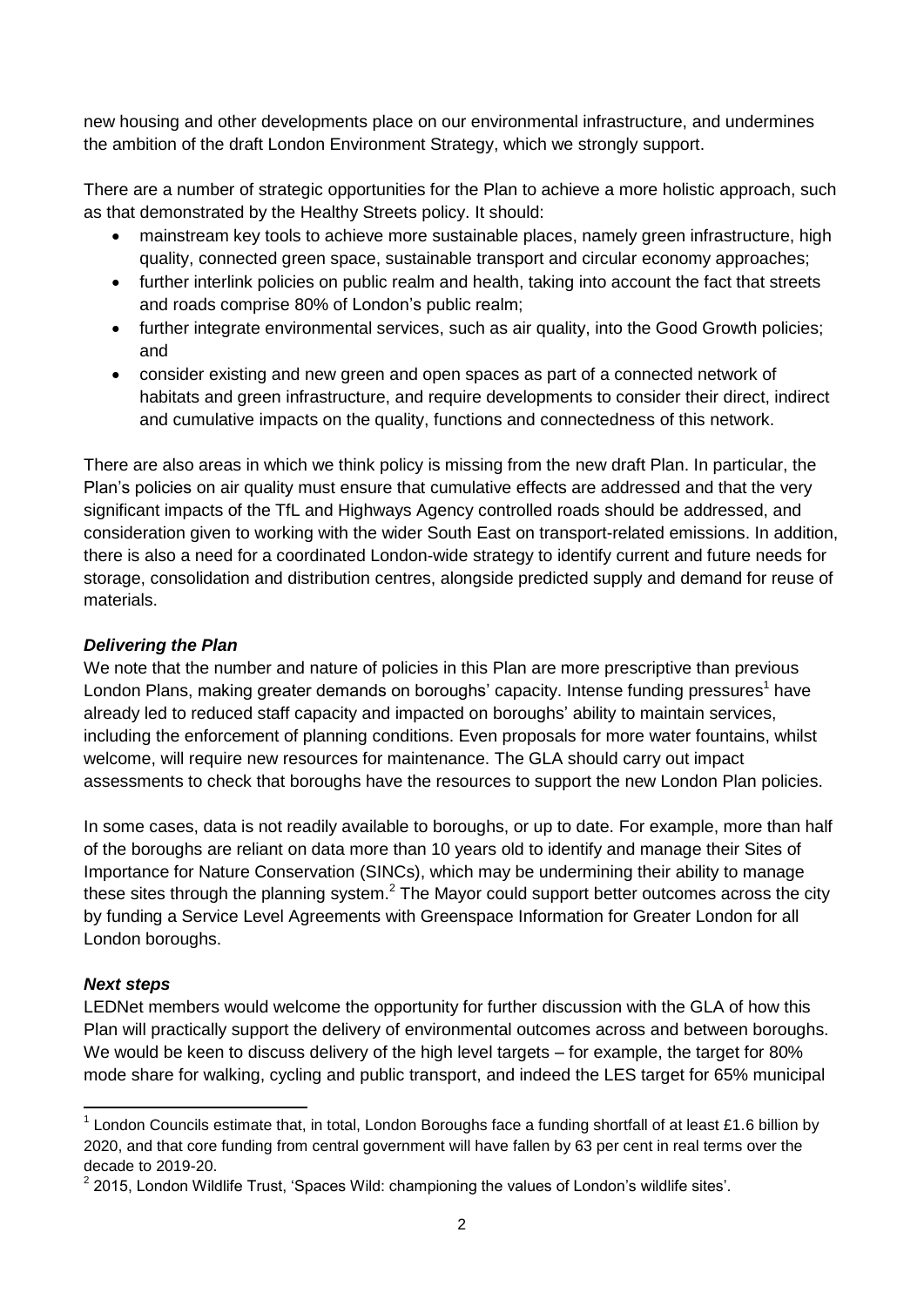new housing and other developments place on our environmental infrastructure, and undermines the ambition of the draft London Environment Strategy, which we strongly support.

There are a number of strategic opportunities for the Plan to achieve a more holistic approach, such as that demonstrated by the Healthy Streets policy. It should:

- mainstream key tools to achieve more sustainable places, namely green infrastructure, high quality, connected green space, sustainable transport and circular economy approaches;
- further interlink policies on public realm and health, taking into account the fact that streets and roads comprise 80% of London's public realm;
- further integrate environmental services, such as air quality, into the Good Growth policies; and
- consider existing and new green and open spaces as part of a connected network of habitats and green infrastructure, and require developments to consider their direct, indirect and cumulative impacts on the quality, functions and connectedness of this network.

There are also areas in which we think policy is missing from the new draft Plan. In particular, the Plan's policies on air quality must ensure that cumulative effects are addressed and that the very significant impacts of the TfL and Highways Agency controlled roads should be addressed, and consideration given to working with the wider South East on transport-related emissions. In addition, there is also a need for a coordinated London-wide strategy to identify current and future needs for storage, consolidation and distribution centres, alongside predicted supply and demand for reuse of materials.

#### *Delivering the Plan*

We note that the number and nature of policies in this Plan are more prescriptive than previous London Plans, making greater demands on boroughs' capacity. Intense funding pressures<sup>1</sup> have already led to reduced staff capacity and impacted on boroughs' ability to maintain services, including the enforcement of planning conditions. Even proposals for more water fountains, whilst welcome, will require new resources for maintenance. The GLA should carry out impact assessments to check that boroughs have the resources to support the new London Plan policies.

In some cases, data is not readily available to boroughs, or up to date. For example, more than half of the boroughs are reliant on data more than 10 years old to identify and manage their Sites of Importance for Nature Conservation (SINCs), which may be undermining their ability to manage these sites through the planning system.<sup>2</sup> The Mayor could support better outcomes across the city by funding a Service Level Agreements with Greenspace Information for Greater London for all London boroughs.

#### *Next steps*

LEDNet members would welcome the opportunity for further discussion with the GLA of how this Plan will practically support the delivery of environmental outcomes across and between boroughs. We would be keen to discuss delivery of the high level targets – for example, the target for 80% mode share for walking, cycling and public transport, and indeed the LES target for 65% municipal

**<sup>.</sup>**  $1$  London Councils estimate that, in total, London Boroughs face a funding shortfall of at least £1.6 billion by 2020, and that core funding from central government will have fallen by 63 per cent in real terms over the decade to 2019-20.

 $2$  2015, London Wildlife Trust, 'Spaces Wild: championing the values of London's wildlife sites'.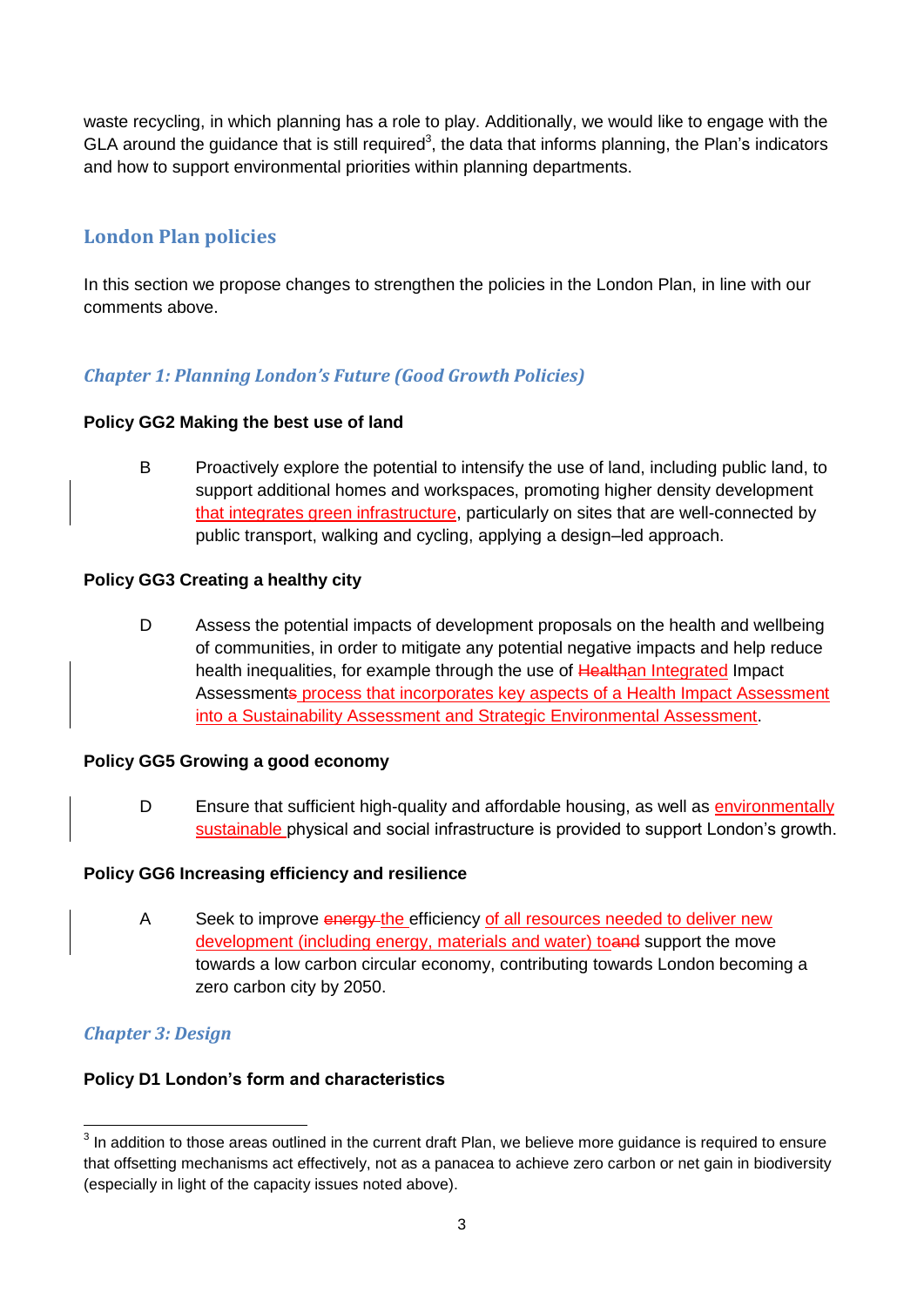waste recycling, in which planning has a role to play. Additionally, we would like to engage with the GLA around the guidance that is still required<sup>3</sup>, the data that informs planning, the Plan's indicators and how to support environmental priorities within planning departments.

# **London Plan policies**

In this section we propose changes to strengthen the policies in the London Plan, in line with our comments above.

# *Chapter 1: Planning London's Future (Good Growth Policies)*

#### **Policy GG2 Making the best use of land**

B Proactively explore the potential to intensify the use of land, including public land, to support additional homes and workspaces, promoting higher density development that integrates green infrastructure, particularly on sites that are well-connected by public transport, walking and cycling, applying a design–led approach.

## **Policy GG3 Creating a healthy city**

D Assess the potential impacts of development proposals on the health and wellbeing of communities, in order to mitigate any potential negative impacts and help reduce health inequalities, for example through the use of Healthan Integrated Impact Assessments process that incorporates key aspects of a Health Impact Assessment into a Sustainability Assessment and Strategic Environmental Assessment.

#### **Policy GG5 Growing a good economy**

D Ensure that sufficient high-quality and affordable housing, as well as environmentally sustainable physical and social infrastructure is provided to support London's growth.

#### **Policy GG6 Increasing efficiency and resilience**

A Seek to improve energy the efficiency of all resources needed to deliver new development (including energy, materials and water) toand support the move towards a low carbon circular economy, contributing towards London becoming a zero carbon city by 2050.

# *Chapter 3: Design*

# **Policy D1 London's form and characteristics**

 $\overline{\phantom{a}}$  $3$  In addition to those areas outlined in the current draft Plan, we believe more guidance is required to ensure that offsetting mechanisms act effectively, not as a panacea to achieve zero carbon or net gain in biodiversity (especially in light of the capacity issues noted above).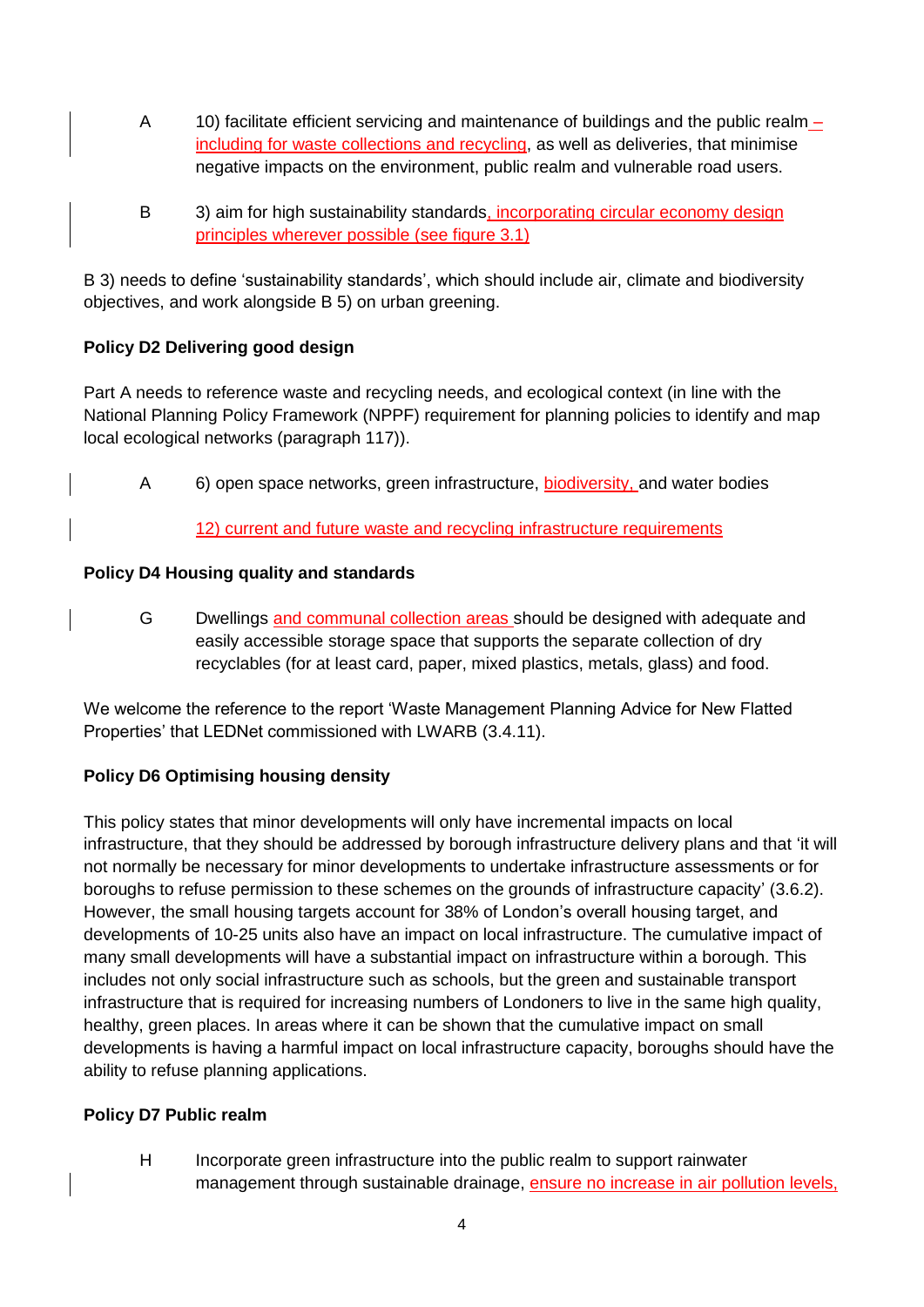- A 10) facilitate efficient servicing and maintenance of buildings and the public realm including for waste collections and recycling, as well as deliveries, that minimise negative impacts on the environment, public realm and vulnerable road users.
- B 3) aim for high sustainability standards, incorporating circular economy design principles wherever possible (see figure 3.1)

B 3) needs to define 'sustainability standards', which should include air, climate and biodiversity objectives, and work alongside B 5) on urban greening.

# **Policy D2 Delivering good design**

Part A needs to reference waste and recycling needs, and ecological context (in line with the National Planning Policy Framework (NPPF) requirement for planning policies to identify and map local ecological networks (paragraph 117)).

A 6) open space networks, green infrastructure, biodiversity, and water bodies

12) current and future waste and recycling infrastructure requirements

# **Policy D4 Housing quality and standards**

G Dwellings and communal collection areas should be designed with adequate and easily accessible storage space that supports the separate collection of dry recyclables (for at least card, paper, mixed plastics, metals, glass) and food.

We welcome the reference to the report 'Waste Management Planning Advice for New Flatted Properties' that LEDNet commissioned with LWARB (3.4.11).

# **Policy D6 Optimising housing density**

This policy states that minor developments will only have incremental impacts on local infrastructure, that they should be addressed by borough infrastructure delivery plans and that 'it will not normally be necessary for minor developments to undertake infrastructure assessments or for boroughs to refuse permission to these schemes on the grounds of infrastructure capacity' (3.6.2). However, the small housing targets account for 38% of London's overall housing target, and developments of 10-25 units also have an impact on local infrastructure. The cumulative impact of many small developments will have a substantial impact on infrastructure within a borough. This includes not only social infrastructure such as schools, but the green and sustainable transport infrastructure that is required for increasing numbers of Londoners to live in the same high quality, healthy, green places. In areas where it can be shown that the cumulative impact on small developments is having a harmful impact on local infrastructure capacity, boroughs should have the ability to refuse planning applications.

# **Policy D7 Public realm**

H Incorporate green infrastructure into the public realm to support rainwater management through sustainable drainage, ensure no increase in air pollution levels,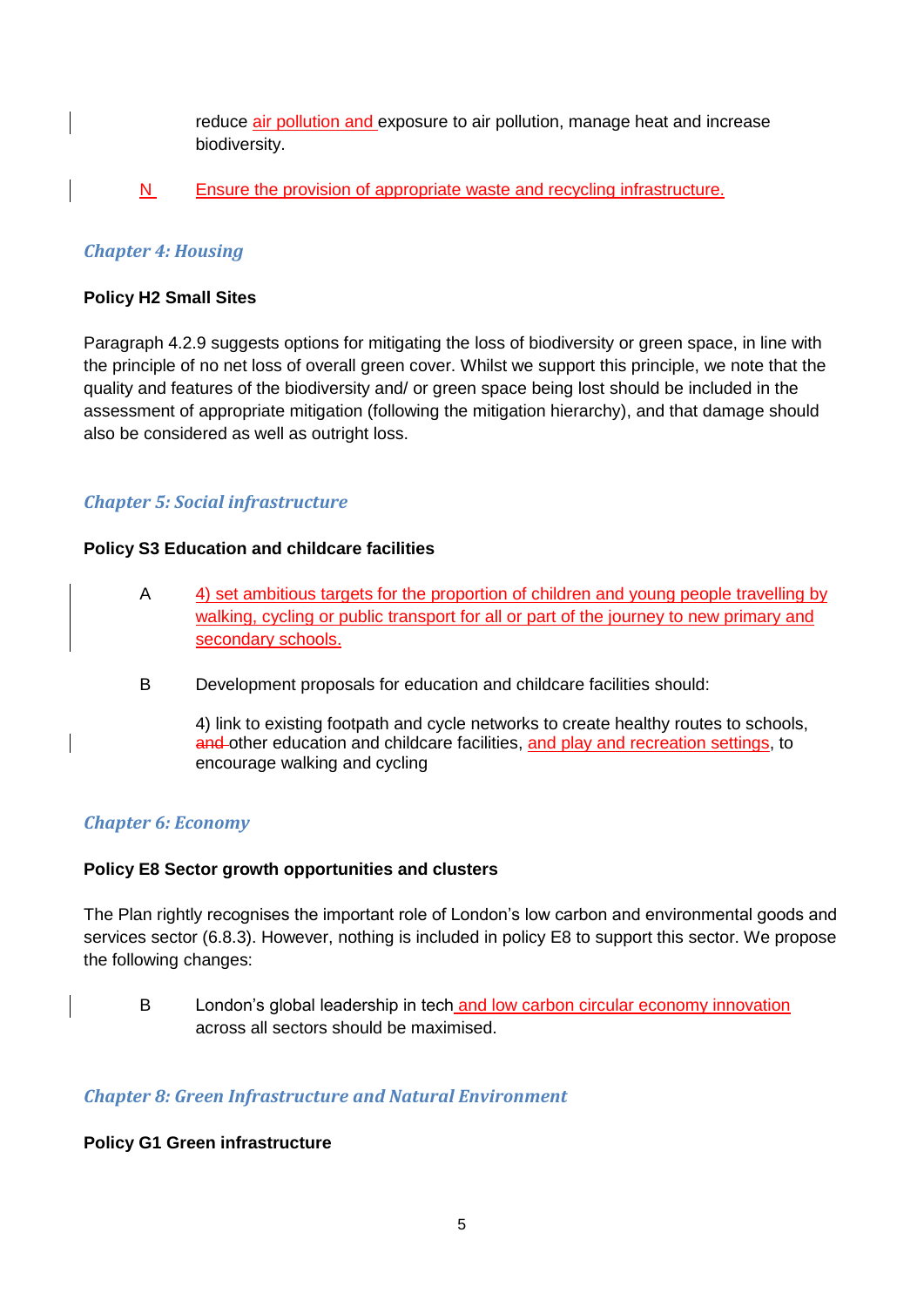reduce air pollution and exposure to air pollution, manage heat and increase biodiversity.

## N Ensure the provision of appropriate waste and recycling infrastructure.

#### *Chapter 4: Housing*

#### **Policy H2 Small Sites**

Paragraph 4.2.9 suggests options for mitigating the loss of biodiversity or green space, in line with the principle of no net loss of overall green cover. Whilst we support this principle, we note that the quality and features of the biodiversity and/ or green space being lost should be included in the assessment of appropriate mitigation (following the mitigation hierarchy), and that damage should also be considered as well as outright loss.

## *Chapter 5: Social infrastructure*

#### **Policy S3 Education and childcare facilities**

- A 4) set ambitious targets for the proportion of children and young people travelling by walking, cycling or public transport for all or part of the journey to new primary and secondary schools.
- B Development proposals for education and childcare facilities should:

4) link to existing footpath and cycle networks to create healthy routes to schools, and other education and childcare facilities, and play and recreation settings, to encourage walking and cycling

#### *Chapter 6: Economy*

#### **Policy E8 Sector growth opportunities and clusters**

The Plan rightly recognises the important role of London's low carbon and environmental goods and services sector (6.8.3). However, nothing is included in policy E8 to support this sector. We propose the following changes:

B London's global leadership in tech and low carbon circular economy innovation across all sectors should be maximised.

#### *Chapter 8: Green Infrastructure and Natural Environment*

#### **Policy G1 Green infrastructure**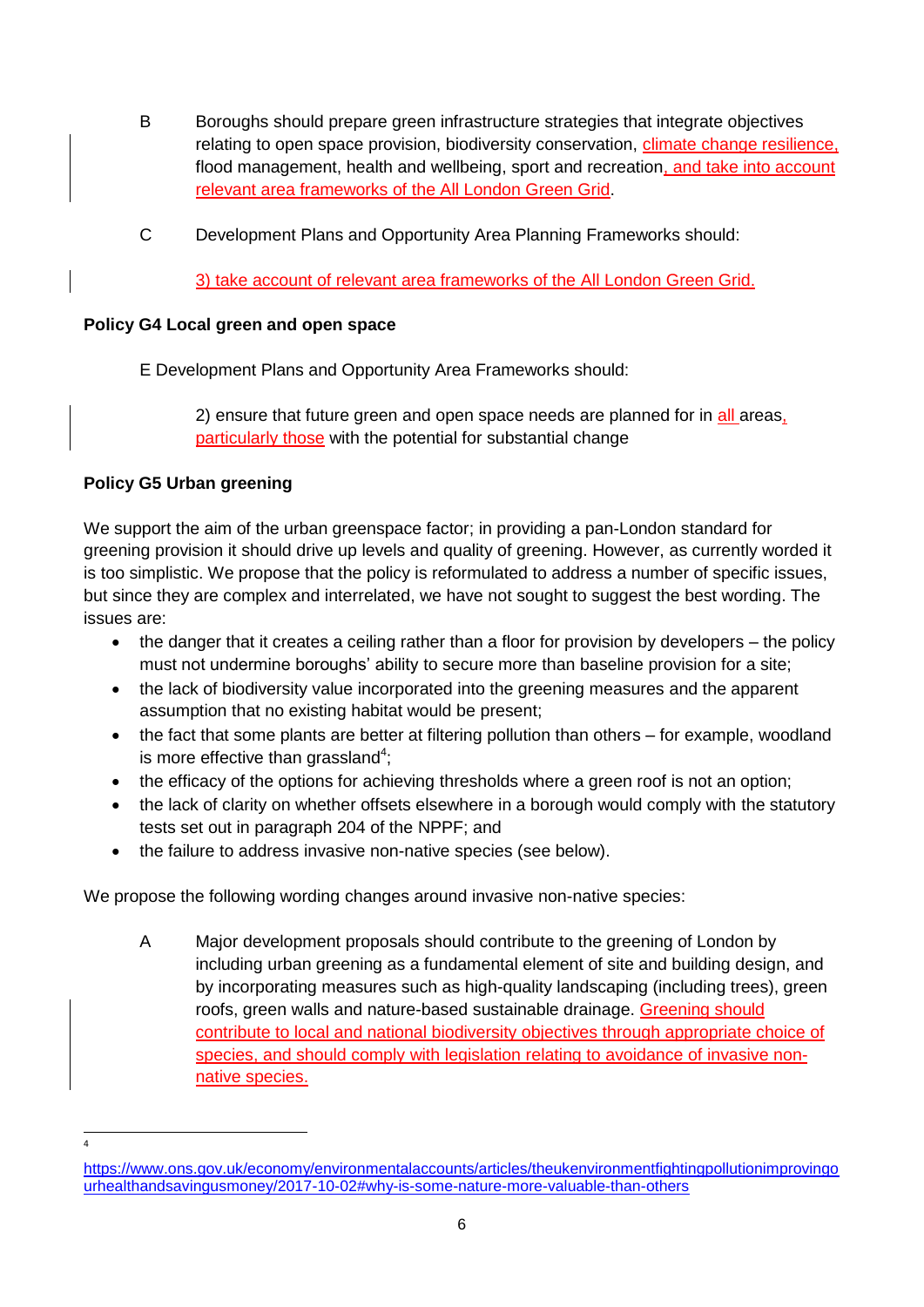- B Boroughs should prepare green infrastructure strategies that integrate objectives relating to open space provision, biodiversity conservation, *climate change resilience*, flood management, health and wellbeing, sport and recreation, and take into account relevant area frameworks of the All London Green Grid.
- C Development Plans and Opportunity Area Planning Frameworks should:

3) take account of relevant area frameworks of the All London Green Grid.

#### **Policy G4 Local green and open space**

E Development Plans and Opportunity Area Frameworks should:

2) ensure that future green and open space needs are planned for in all areas, particularly those with the potential for substantial change

#### **Policy G5 Urban greening**

**.** 4

We support the aim of the urban greenspace factor; in providing a pan-London standard for greening provision it should drive up levels and quality of greening. However, as currently worded it is too simplistic. We propose that the policy is reformulated to address a number of specific issues, but since they are complex and interrelated, we have not sought to suggest the best wording. The issues are:

- the danger that it creates a ceiling rather than a floor for provision by developers the policy must not undermine boroughs' ability to secure more than baseline provision for a site;
- the lack of biodiversity value incorporated into the greening measures and the apparent assumption that no existing habitat would be present;
- the fact that some plants are better at filtering pollution than others for example, woodland is more effective than grassland<sup>4</sup>;
- the efficacy of the options for achieving thresholds where a green roof is not an option;
- the lack of clarity on whether offsets elsewhere in a borough would comply with the statutory tests set out in paragraph 204 of the NPPF; and
- the failure to address invasive non-native species (see below).

We propose the following wording changes around invasive non-native species:

A Major development proposals should contribute to the greening of London by including urban greening as a fundamental element of site and building design, and by incorporating measures such as high-quality landscaping (including trees), green roofs, green walls and nature-based sustainable drainage. Greening should contribute to local and national biodiversity objectives through appropriate choice of species, and should comply with legislation relating to avoidance of invasive nonnative species.

[https://www.ons.gov.uk/economy/environmentalaccounts/articles/theukenvironmentfightingpollutionimprovingo](https://www.ons.gov.uk/economy/environmentalaccounts/articles/theukenvironmentfightingpollutionimprovingourhealthandsavingusmoney/2017-10-02#why-is-some-nature-more-valuable-than-others) [urhealthandsavingusmoney/2017-10-02#why-is-some-nature-more-valuable-than-others](https://www.ons.gov.uk/economy/environmentalaccounts/articles/theukenvironmentfightingpollutionimprovingourhealthandsavingusmoney/2017-10-02#why-is-some-nature-more-valuable-than-others)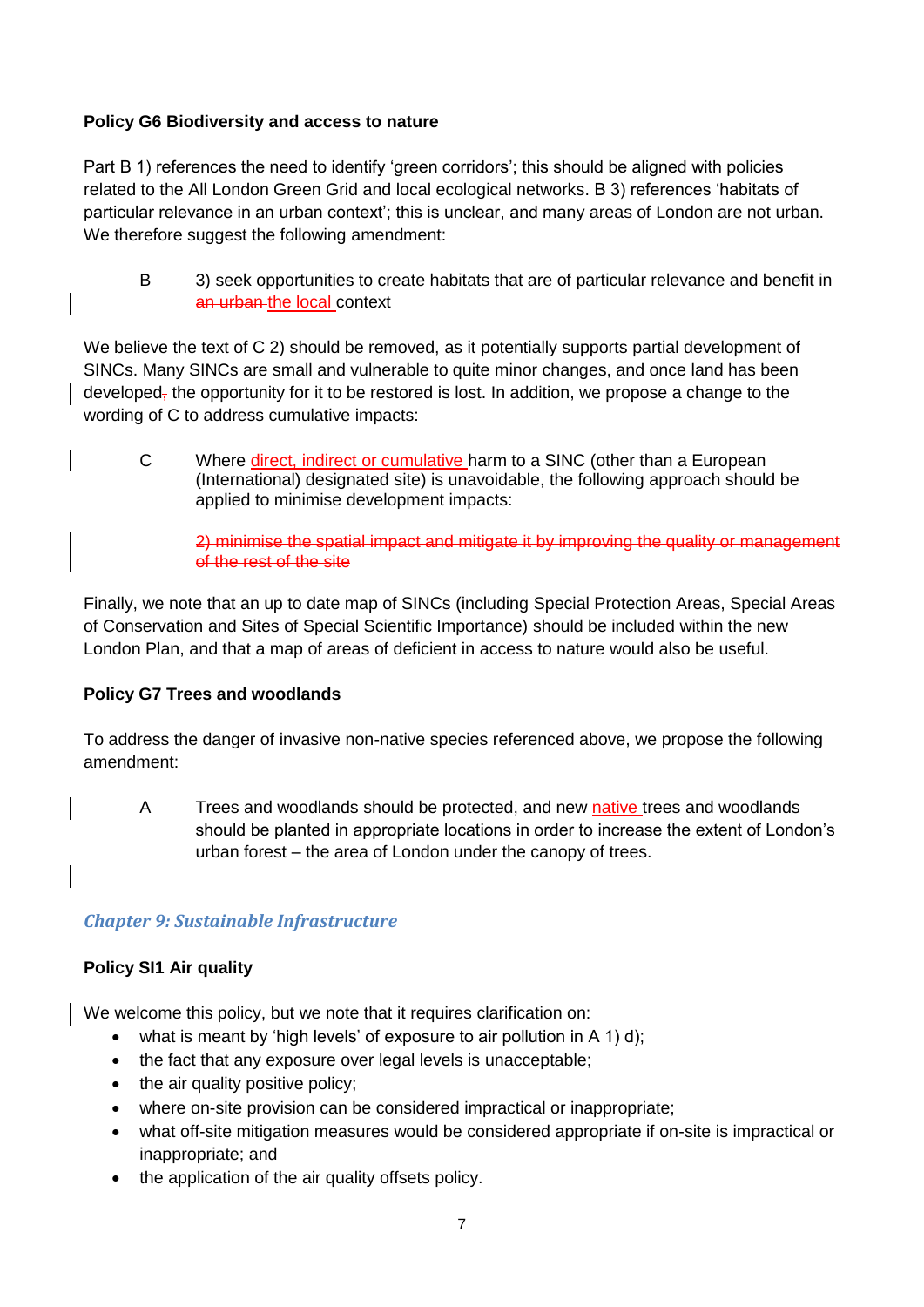### **Policy G6 Biodiversity and access to nature**

Part B 1) references the need to identify 'green corridors'; this should be aligned with policies related to the All London Green Grid and local ecological networks. B 3) references 'habitats of particular relevance in an urban context'; this is unclear, and many areas of London are not urban. We therefore suggest the following amendment:

B 3) seek opportunities to create habitats that are of particular relevance and benefit in an urban the local context

We believe the text of C 2) should be removed, as it potentially supports partial development of SINCs. Many SINCs are small and vulnerable to quite minor changes, and once land has been developed, the opportunity for it to be restored is lost. In addition, we propose a change to the wording of C to address cumulative impacts:

C Where direct, indirect or cumulative harm to a SINC (other than a European (International) designated site) is unavoidable, the following approach should be applied to minimise development impacts:

2) minimise the spatial impact and mitigate it by improving the quality or management of the rest of the site

Finally, we note that an up to date map of SINCs (including Special Protection Areas, Special Areas of Conservation and Sites of Special Scientific Importance) should be included within the new London Plan, and that a map of areas of deficient in access to nature would also be useful.

#### **Policy G7 Trees and woodlands**

To address the danger of invasive non-native species referenced above, we propose the following amendment:

A Trees and woodlands should be protected, and new native trees and woodlands should be planted in appropriate locations in order to increase the extent of London's urban forest – the area of London under the canopy of trees.

#### *Chapter 9: Sustainable Infrastructure*

#### **Policy SI1 Air quality**

We welcome this policy, but we note that it requires clarification on:

- $\bullet$  what is meant by 'high levels' of exposure to air pollution in A 1) d);
- the fact that any exposure over legal levels is unacceptable;
- the air quality positive policy;
- where on-site provision can be considered impractical or inappropriate;
- what off-site mitigation measures would be considered appropriate if on-site is impractical or inappropriate; and
- the application of the air quality offsets policy.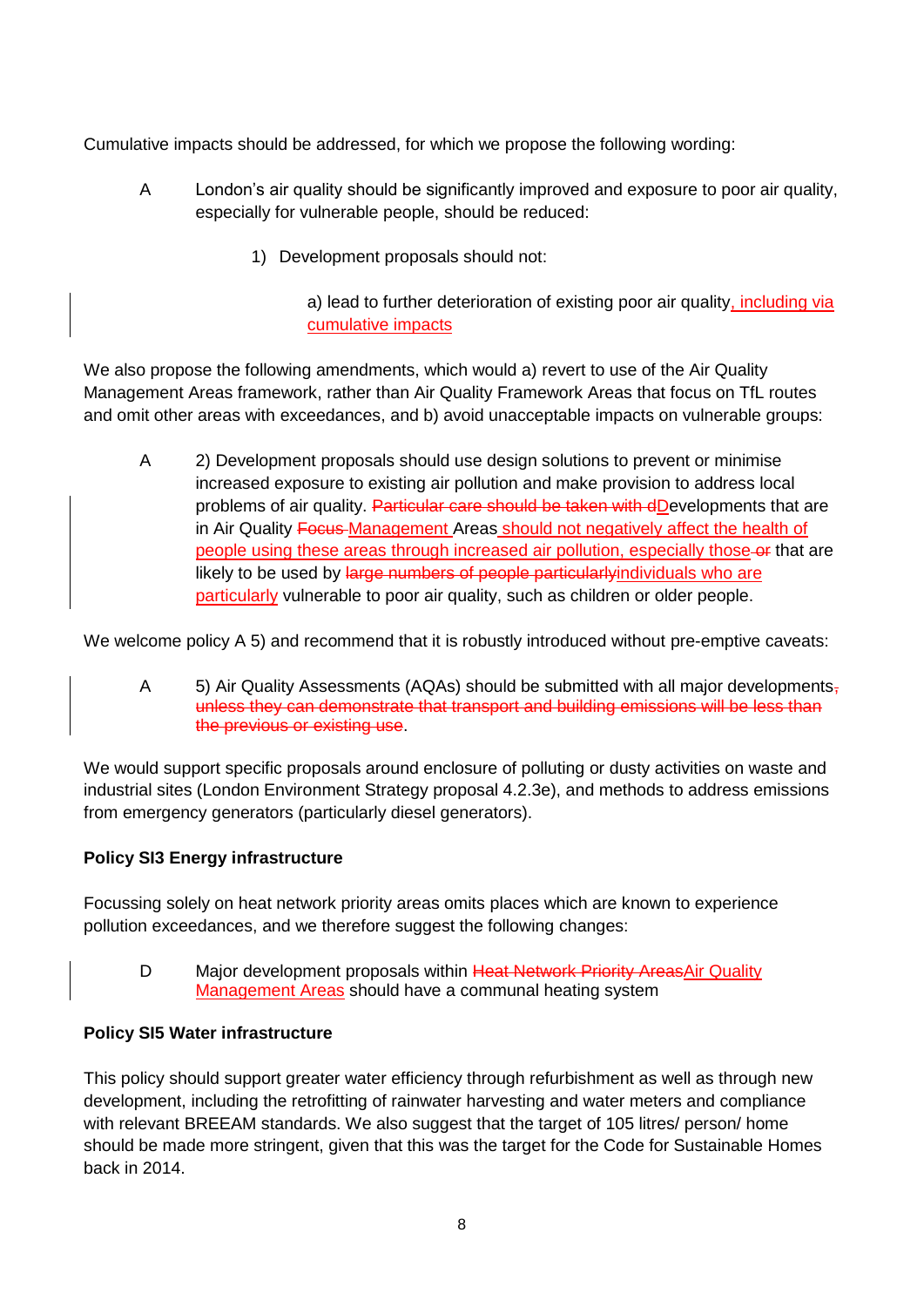Cumulative impacts should be addressed, for which we propose the following wording:

- A London's air quality should be significantly improved and exposure to poor air quality, especially for vulnerable people, should be reduced:
	- 1) Development proposals should not:

a) lead to further deterioration of existing poor air quality, including via cumulative impacts

We also propose the following amendments, which would a) revert to use of the Air Quality Management Areas framework, rather than Air Quality Framework Areas that focus on TfL routes and omit other areas with exceedances, and b) avoid unacceptable impacts on vulnerable groups:

A 2) Development proposals should use design solutions to prevent or minimise increased exposure to existing air pollution and make provision to address local problems of air quality. Particular care should be taken with dDevelopments that are in Air Quality Focus Management Areas should not negatively affect the health of people using these areas through increased air pollution, especially those-or that are likely to be used by large numbers of people particularlyindividuals who are particularly vulnerable to poor air quality, such as children or older people.

We welcome policy A 5) and recommend that it is robustly introduced without pre-emptive caveats:

A 5) Air Quality Assessments (AQAs) should be submitted with all major developments, unless they can demonstrate that transport and building emissions will be less than the previous or existing use.

We would support specific proposals around enclosure of polluting or dusty activities on waste and industrial sites (London Environment Strategy proposal 4.2.3e), and methods to address emissions from emergency generators (particularly diesel generators).

#### **Policy SI3 Energy infrastructure**

Focussing solely on heat network priority areas omits places which are known to experience pollution exceedances, and we therefore suggest the following changes:

D Major development proposals within Heat Network Priority AreasAir Quality Management Areas should have a communal heating system

#### **Policy SI5 Water infrastructure**

This policy should support greater water efficiency through refurbishment as well as through new development, including the retrofitting of rainwater harvesting and water meters and compliance with relevant BREEAM standards. We also suggest that the target of 105 litres/ person/ home should be made more stringent, given that this was the target for the Code for Sustainable Homes back in 2014.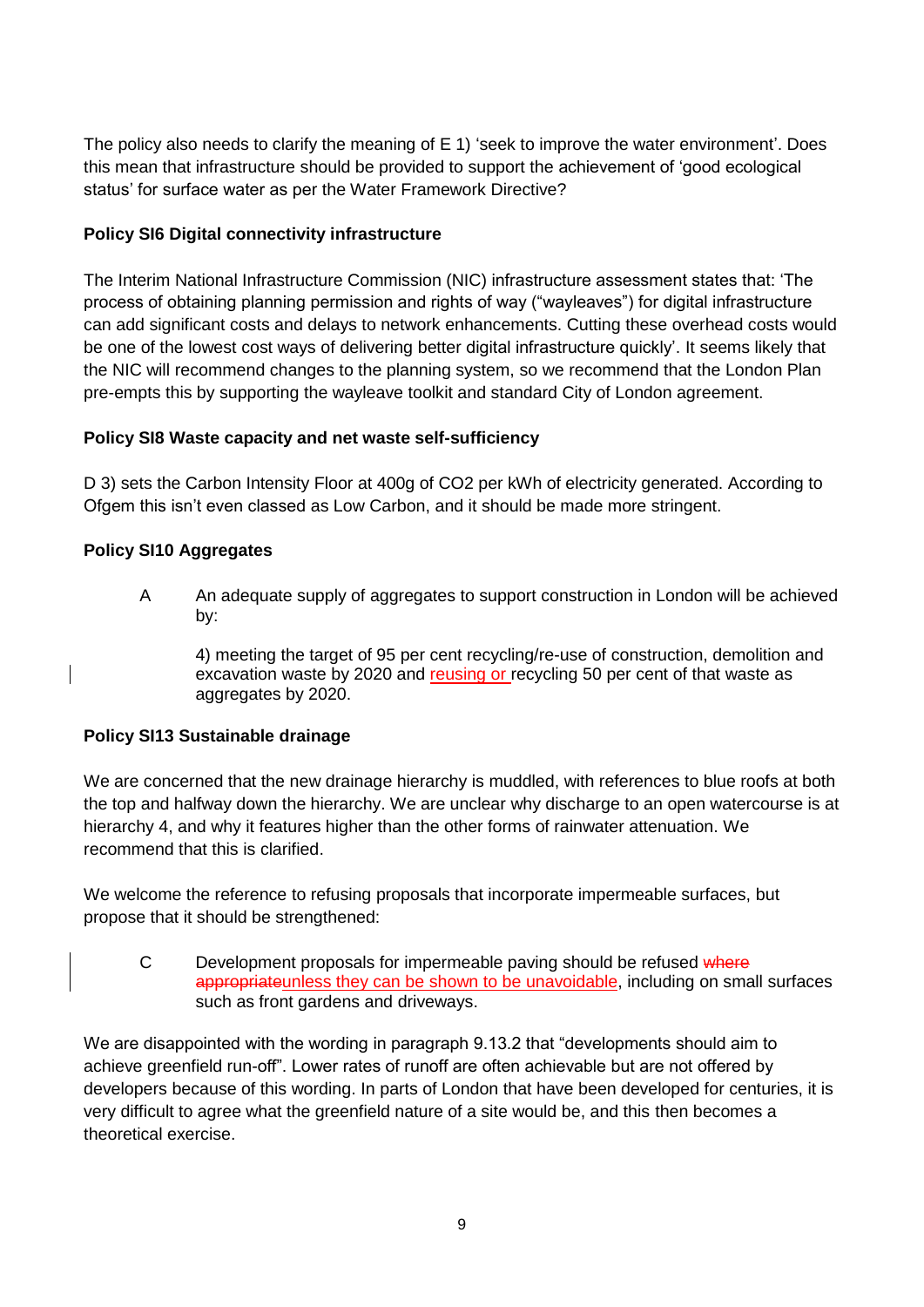The policy also needs to clarify the meaning of E 1) 'seek to improve the water environment'. Does this mean that infrastructure should be provided to support the achievement of 'good ecological status' for surface water as per the Water Framework Directive?

## **Policy SI6 Digital connectivity infrastructure**

The Interim National Infrastructure Commission (NIC) infrastructure assessment states that: 'The process of obtaining planning permission and rights of way ("wayleaves") for digital infrastructure can add significant costs and delays to network enhancements. Cutting these overhead costs would be one of the lowest cost ways of delivering better digital infrastructure quickly'. It seems likely that the NIC will recommend changes to the planning system, so we recommend that the London Plan pre-empts this by supporting the wayleave toolkit and standard City of London agreement.

#### **Policy SI8 Waste capacity and net waste self-sufficiency**

D 3) sets the Carbon Intensity Floor at 400g of CO2 per kWh of electricity generated. According to Ofgem this isn't even classed as Low Carbon, and it should be made more stringent.

#### **Policy SI10 Aggregates**

A An adequate supply of aggregates to support construction in London will be achieved by:

4) meeting the target of 95 per cent recycling/re-use of construction, demolition and excavation waste by 2020 and reusing or recycling 50 per cent of that waste as aggregates by 2020.

#### **Policy SI13 Sustainable drainage**

We are concerned that the new drainage hierarchy is muddled, with references to blue roofs at both the top and halfway down the hierarchy. We are unclear why discharge to an open watercourse is at hierarchy 4, and why it features higher than the other forms of rainwater attenuation. We recommend that this is clarified.

We welcome the reference to refusing proposals that incorporate impermeable surfaces, but propose that it should be strengthened:

C Development proposals for impermeable paving should be refused where appropriateunless they can be shown to be unavoidable, including on small surfaces such as front gardens and driveways.

We are disappointed with the wording in paragraph 9.13.2 that "developments should aim to achieve greenfield run-off". Lower rates of runoff are often achievable but are not offered by developers because of this wording. In parts of London that have been developed for centuries, it is very difficult to agree what the greenfield nature of a site would be, and this then becomes a theoretical exercise.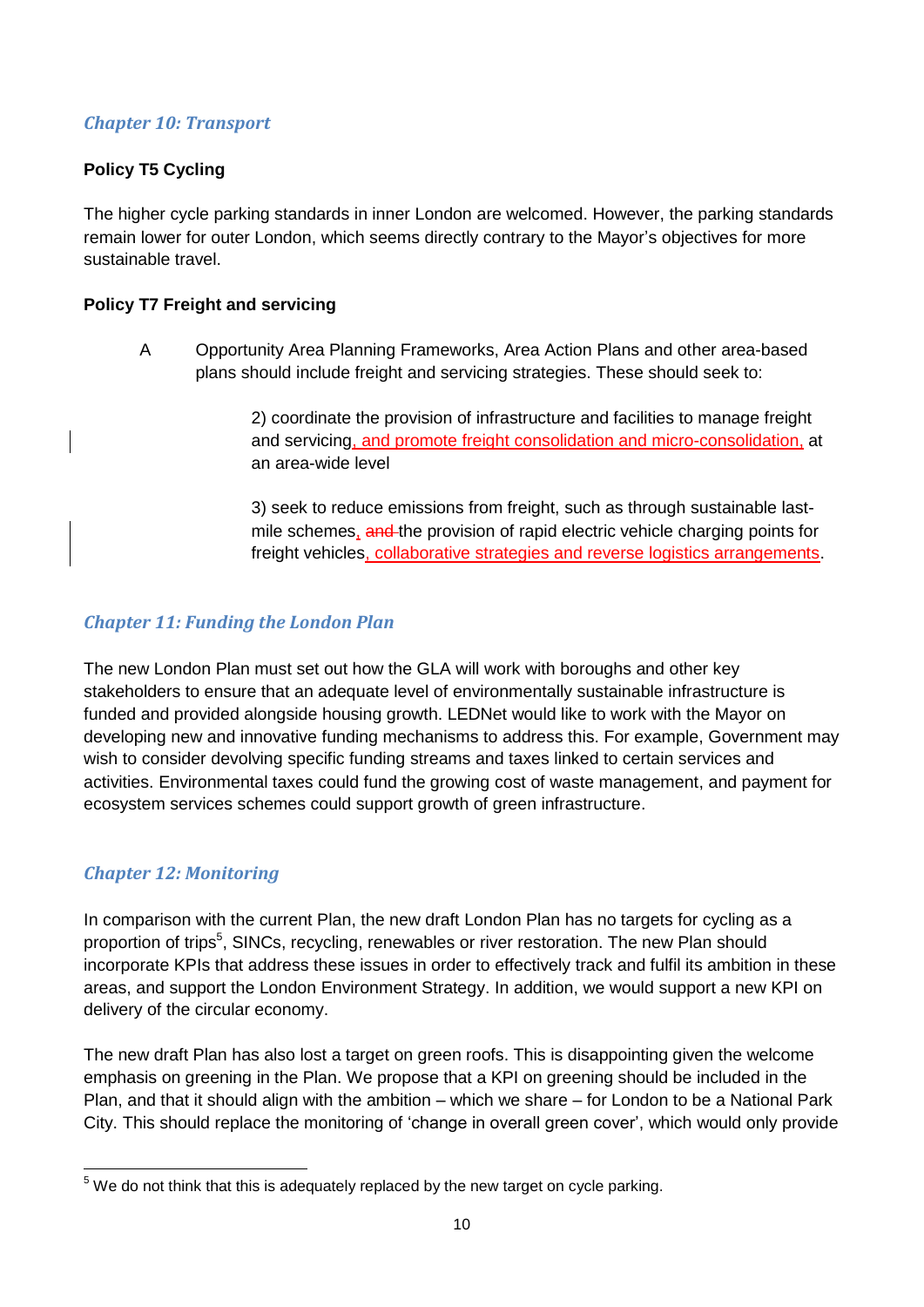### *Chapter 10: Transport*

# **Policy T5 Cycling**

The higher cycle parking standards in inner London are welcomed. However, the parking standards remain lower for outer London, which seems directly contrary to the Mayor's objectives for more sustainable travel.

### **Policy T7 Freight and servicing**

A Opportunity Area Planning Frameworks, Area Action Plans and other area-based plans should include freight and servicing strategies. These should seek to:

> 2) coordinate the provision of infrastructure and facilities to manage freight and servicing, and promote freight consolidation and micro-consolidation, at an area-wide level

> 3) seek to reduce emissions from freight, such as through sustainable lastmile schemes, and the provision of rapid electric vehicle charging points for freight vehicles, collaborative strategies and reverse logistics arrangements.

## *Chapter 11: Funding the London Plan*

The new London Plan must set out how the GLA will work with boroughs and other key stakeholders to ensure that an adequate level of environmentally sustainable infrastructure is funded and provided alongside housing growth. LEDNet would like to work with the Mayor on developing new and innovative funding mechanisms to address this. For example, Government may wish to consider devolving specific funding streams and taxes linked to certain services and activities. Environmental taxes could fund the growing cost of waste management, and payment for ecosystem services schemes could support growth of green infrastructure.

# *Chapter 12: Monitoring*

In comparison with the current Plan, the new draft London Plan has no targets for cycling as a proportion of trips<sup>5</sup>, SINCs, recycling, renewables or river restoration. The new Plan should incorporate KPIs that address these issues in order to effectively track and fulfil its ambition in these areas, and support the London Environment Strategy. In addition, we would support a new KPI on delivery of the circular economy.

The new draft Plan has also lost a target on green roofs. This is disappointing given the welcome emphasis on greening in the Plan. We propose that a KPI on greening should be included in the Plan, and that it should align with the ambition – which we share – for London to be a National Park City. This should replace the monitoring of 'change in overall green cover', which would only provide

**<sup>.</sup>**  $5$  We do not think that this is adequately replaced by the new target on cycle parking.